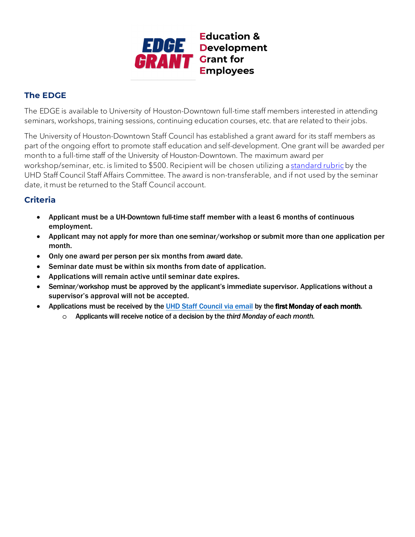

## **The EDGE**

The EDGE is available to University of Houston-Downtown full-time staff members interested in attending seminars, workshops, training sessions, continuing education courses, etc. that are related to their jobs.

The University of Houston-Downtown Staff Council has established a grant award for its staff members as part of the ongoing effort to promote staff education and self-development. One grant will be awarded per month to a full-time staff of the University of Houston-Downtown. The maximum award per workshop/seminar, etc. is limited to \$500. Recipient will be chosen utilizing a [standard rubric](https://www.uhd.edu/faculty-staff/staff-council/development/Documents/EDGE%20Grant%20Rubric.pdf)by the UHD Staff Council Staff Affairs Committee. The award is non-transferable, and if not used by the seminar date, it must be returned to the Staff Council account.

## **Criteria**

- Applicant must be a UH-Downtown full-time staff member with a least 6 months of continuous employment.
- Applicant may not apply for more than one seminar/workshop or submit more than one application per month.
- Only one award per person per six months from award date.
- Seminar date must be within six months from date of application.
- Applications will remain active until seminar date expires.
- Seminar/workshop must be approved by the applicant's immediate supervisor. Applications without a supervisor's approval will not be accepted.
- Applications must be received by the [UHD Staff Council via email](mailto:uhdstaffcouncil@uhd.edu?subject=EDGE%20Award%20Application) by the first Monday of each month.
	- o Applicants will receive notice of a decision by the *third Monday of each month.*